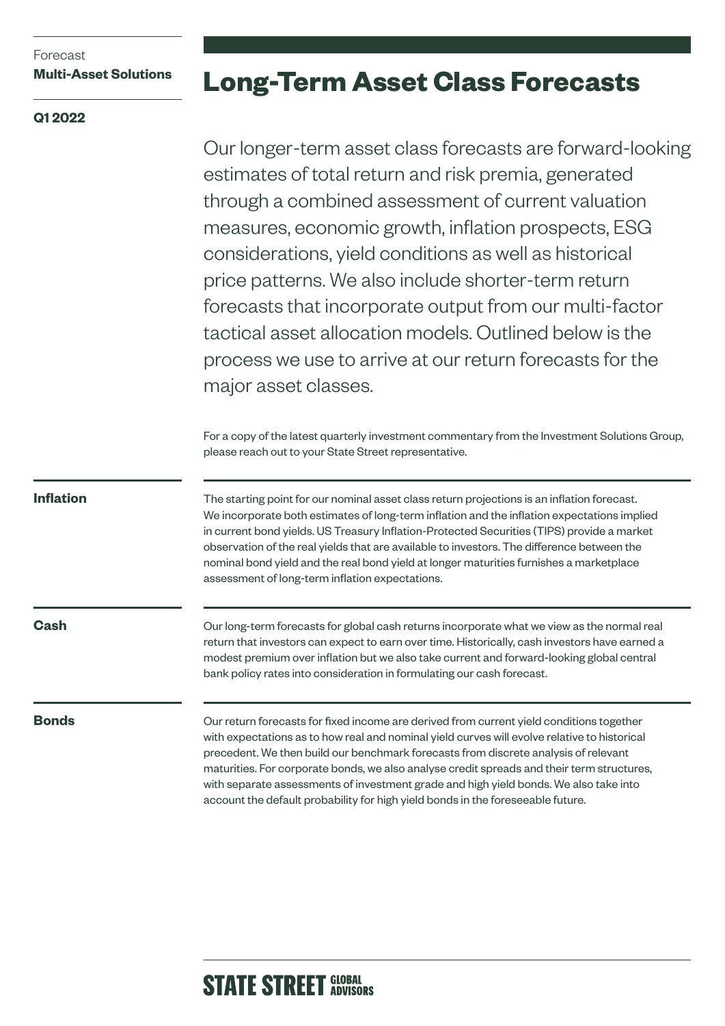# Forecast **Multi-Asset Solutions**

# **Q1 2022**

# **Long-Term Asset Class Forecasts**

Our longer-term asset class forecasts are forward-looking estimates of total return and risk premia, generated through a combined assessment of current valuation measures, economic growth, inflation prospects, ESG considerations, yield conditions as well as historical price patterns. We also include shorter-term return forecasts that incorporate output from our multi-factor tactical asset allocation models. Outlined below is the process we use to arrive at our return forecasts for the major asset classes.

For a copy of the latest quarterly investment commentary from the Investment Solutions Group, please reach out to your State Street representative.

**Inflation**

The starting point for our nominal asset class return projections is an inflation forecast. We incorporate both estimates of long-term inflation and the inflation expectations implied in current bond yields. US Treasury Inflation-Protected Securities (TIPS) provide a market observation of the real yields that are available to investors. The difference between the nominal bond yield and the real bond yield at longer maturities furnishes a marketplace assessment of long-term inflation expectations.

**Cash**

Our long-term forecasts for global cash returns incorporate what we view as the normal real return that investors can expect to earn over time. Historically, cash investors have earned a modest premium over inflation but we also take current and forward-looking global central bank policy rates into consideration in formulating our cash forecast.

# **Bonds**

Our return forecasts for fixed income are derived from current yield conditions together with expectations as to how real and nominal yield curves will evolve relative to historical precedent. We then build our benchmark forecasts from discrete analysis of relevant maturities. For corporate bonds, we also analyse credit spreads and their term structures, with separate assessments of investment grade and high yield bonds. We also take into account the default probability for high yield bonds in the foreseeable future.

# **STATE STREET GLOBAL**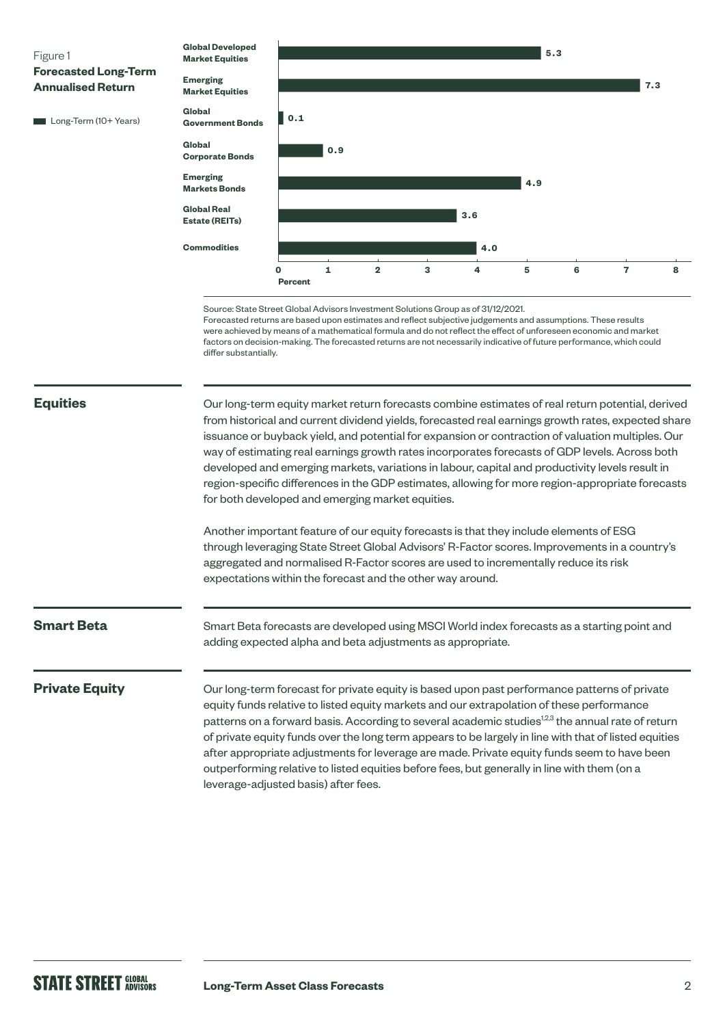

### **Equities**

Our long-term equity market return forecasts combine estimates of real return potential, derived from historical and current dividend yields, forecasted real earnings growth rates, expected share issuance or buyback yield, and potential for expansion or contraction of valuation multiples. Our way of estimating real earnings growth rates incorporates forecasts of GDP levels. Across both developed and emerging markets, variations in labour, capital and productivity levels result in region-specific differences in the GDP estimates, allowing for more region-appropriate forecasts for both developed and emerging market equities.

Another important feature of our equity forecasts is that they include elements of ESG through leveraging State Street Global Advisors' R-Factor scores. Improvements in a country's aggregated and normalised R-Factor scores are used to incrementally reduce its risk expectations within the forecast and the other way around.

### **Smart Beta**

Smart Beta forecasts are developed using MSCI World index forecasts as a starting point and adding expected alpha and beta adjustments as appropriate.

#### **Private Equity**

Our long-term forecast for private equity is based upon past performance patterns of private equity funds relative to listed equity markets and our extrapolation of these performance patterns on a forward basis. According to several academic studies<sup>12,3</sup> the annual rate of return of private equity funds over the long term appears to be largely in line with that of listed equities after appropriate adjustments for leverage are made. Private equity funds seem to have been outperforming relative to listed equities before fees, but generally in line with them (on a leverage-adjusted basis) after fees.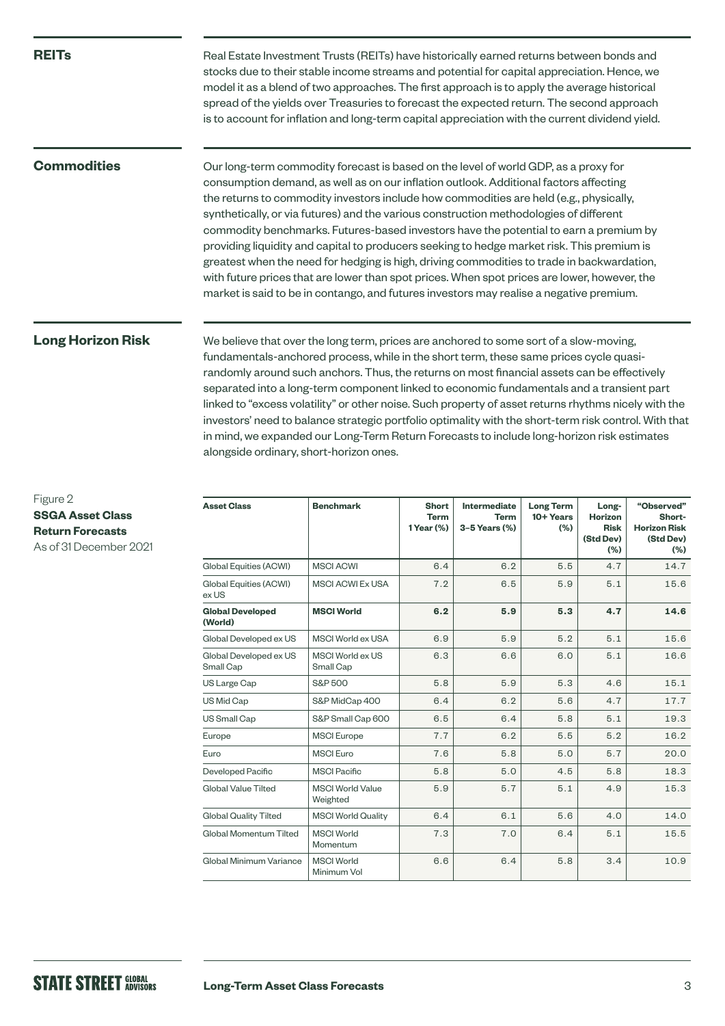#### **REITs**

Real Estate Investment Trusts (REITs) have historically earned returns between bonds and stocks due to their stable income streams and potential for capital appreciation. Hence, we model it as a blend of two approaches. The first approach is to apply the average historical spread of the yields over Treasuries to forecast the expected return. The second approach is to account for inflation and long-term capital appreciation with the current dividend yield.

# **Commodities**

Our long-term commodity forecast is based on the level of world GDP, as a proxy for consumption demand, as well as on our inflation outlook. Additional factors affecting the returns to commodity investors include how commodities are held (e.g., physically, synthetically, or via futures) and the various construction methodologies of different commodity benchmarks. Futures-based investors have the potential to earn a premium by providing liquidity and capital to producers seeking to hedge market risk. This premium is greatest when the need for hedging is high, driving commodities to trade in backwardation, with future prices that are lower than spot prices. When spot prices are lower, however, the market is said to be in contango, and futures investors may realise a negative premium.

# **Long Horizon Risk**

We believe that over the long term, prices are anchored to some sort of a slow-moving, fundamentals-anchored process, while in the short term, these same prices cycle quasirandomly around such anchors. Thus, the returns on most financial assets can be effectively separated into a long-term component linked to economic fundamentals and a transient part linked to "excess volatility" or other noise. Such property of asset returns rhythms nicely with the investors' need to balance strategic portfolio optimality with the short-term risk control. With that in mind, we expanded our Long-Term Return Forecasts to include long-horizon risk estimates alongside ordinary, short-horizon ones.

| <b>Asset Class</b>                  | <b>Benchmark</b>                    | <b>Short</b><br><b>Term</b><br>1 Year (%) | Intermediate<br><b>Term</b><br>3-5 Years (%) | <b>Long Term</b><br>10+ Years<br>(% ) | Long-<br><b>Horizon</b><br><b>Risk</b><br>(Std Dev)<br>(%) | "Observed"<br>Short-<br><b>Horizon Risk</b><br>(Std Dev)<br>(%) |
|-------------------------------------|-------------------------------------|-------------------------------------------|----------------------------------------------|---------------------------------------|------------------------------------------------------------|-----------------------------------------------------------------|
| Global Equities (ACWI)              | <b>MSCI ACWI</b>                    | 6.4                                       | 6.2                                          | 5.5                                   | 4.7                                                        | 14.7                                                            |
| Global Equities (ACWI)<br>ex US     | <b>MSCI ACWI Ex USA</b>             | 7.2                                       | 6.5                                          | 5.9                                   | 5.1                                                        | 15.6                                                            |
| <b>Global Developed</b><br>(World)  | <b>MSCI World</b>                   | 6.2                                       | 5.9                                          | 5.3                                   | 4.7                                                        | 14.6                                                            |
| Global Developed ex US              | MSCI World ex USA                   | 6.9                                       | 5.9                                          | 5.2                                   | 5.1                                                        | 15.6                                                            |
| Global Developed ex US<br>Small Cap | MSCI World ex US<br>Small Cap       | 6.3                                       | 6.6                                          | 6.0                                   | 5.1                                                        | 16.6                                                            |
| US Large Cap                        | S&P 500                             | 5.8                                       | 5.9                                          | 5.3                                   | 4.6                                                        | 15.1                                                            |
| US Mid Cap                          | S&P MidCap 400                      | 6.4                                       | 6.2                                          | 5.6                                   | 4.7                                                        | 17.7                                                            |
| US Small Cap                        | S&P Small Cap 600                   | 6.5                                       | 6.4                                          | 5.8                                   | 5.1                                                        | 19.3                                                            |
| Europe                              | <b>MSCI</b> Europe                  | 7.7                                       | 6.2                                          | 5.5                                   | 5.2                                                        | 16.2                                                            |
| Euro                                | <b>MSCI</b> Euro                    | 7.6                                       | 5.8                                          | 5.0                                   | 5.7                                                        | 20.0                                                            |
| Developed Pacific                   | <b>MSCI Pacific</b>                 | 5.8                                       | 5.0                                          | 4.5                                   | 5.8                                                        | 18.3                                                            |
| Global Value Tilted                 | <b>MSCI World Value</b><br>Weighted | 5.9                                       | 5.7                                          | 5.1                                   | 4.9                                                        | 15.3                                                            |
| <b>Global Quality Tilted</b>        | <b>MSCI World Quality</b>           | 6.4                                       | 6.1                                          | 5.6                                   | 4.0                                                        | 14.0                                                            |
| Global Momentum Tilted              | <b>MSCI World</b><br>Momentum       | 7.3                                       | 7.0                                          | 6.4                                   | 5.1                                                        | 15.5                                                            |
| Global Minimum Variance             | <b>MSCI World</b><br>Minimum Vol    | 6.6                                       | 6.4                                          | 5.8                                   | 3.4                                                        | 10.9                                                            |

### Figure 2 **SSGA Asset Class Return Forecasts** As of 31 December 2021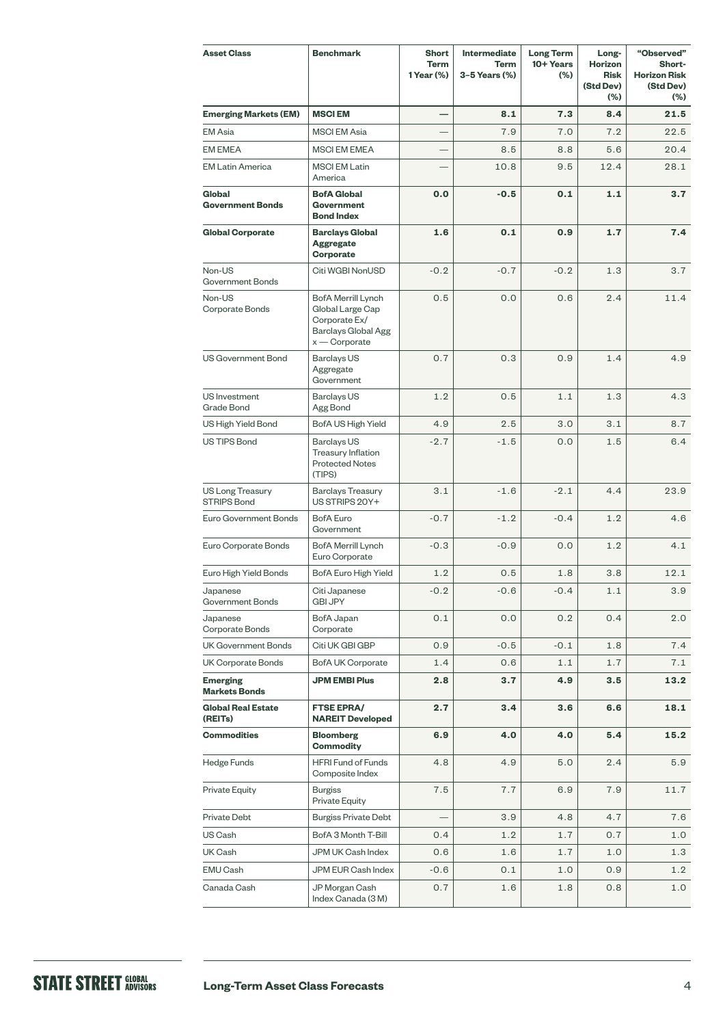| <b>Asset Class</b>                            | <b>Benchmark</b>                                                                                         | <b>Short</b><br><b>Term</b><br>1 Year (%) | <b>Intermediate</b><br><b>Term</b><br>3-5 Years (%) | <b>Long Term</b><br>10+ Years<br>$(\% )$ | Long-<br>Horizon<br><b>Risk</b><br>(Std Dev)<br>$(\%)$ | "Observed"<br>Short-<br><b>Horizon Risk</b><br>(Std Dev)<br>$(\% )$ |
|-----------------------------------------------|----------------------------------------------------------------------------------------------------------|-------------------------------------------|-----------------------------------------------------|------------------------------------------|--------------------------------------------------------|---------------------------------------------------------------------|
| <b>Emerging Markets (EM)</b>                  | <b>MSCIEM</b>                                                                                            |                                           | 8.1                                                 | 7.3                                      | 8.4                                                    | 21.5                                                                |
| <b>EM Asia</b>                                | <b>MSCI EM Asia</b>                                                                                      |                                           | 7.9                                                 | 7.0                                      | 7.2                                                    | 22.5                                                                |
| <b>EM EMEA</b>                                | <b>MSCI EM EMEA</b>                                                                                      |                                           | 8.5                                                 | 8.8                                      | 5.6                                                    | 20.4                                                                |
| <b>EM Latin America</b>                       | <b>MSCI EM Latin</b><br>America                                                                          |                                           | 10.8                                                | 9.5                                      | 12.4                                                   | 28.1                                                                |
| Global<br><b>Government Bonds</b>             | <b>BofA Global</b><br><b>Government</b><br><b>Bond Index</b>                                             | 0.0                                       | $-0.5$                                              | 0.1                                      | 1.1                                                    | 3.7                                                                 |
| <b>Global Corporate</b>                       | <b>Barclays Global</b><br><b>Aggregate</b><br>Corporate                                                  | 1.6                                       | 0.1                                                 | 0.9                                      | 1.7                                                    | 7.4                                                                 |
| Non-US<br>Government Bonds                    | Citi WGBI NonUSD                                                                                         | $-0.2$                                    | $-0.7$                                              | $-0.2$                                   | 1.3                                                    | 3.7                                                                 |
| Non-US<br>Corporate Bonds                     | BofA Merrill Lynch<br>Global Large Cap<br>Corporate Ex/<br><b>Barclays Global Agg</b><br>$x -$ Corporate | 0.5                                       | 0.0                                                 | 0.6                                      | 2.4                                                    | 11.4                                                                |
| US Government Bond                            | <b>Barclays US</b><br>Aggregate<br>Government                                                            | 0.7                                       | 0.3                                                 | 0.9                                      | 1.4                                                    | 4.9                                                                 |
| US Investment<br>Grade Bond                   | <b>Barclays US</b><br>Agg Bond                                                                           | 1.2                                       | 0.5                                                 | 1.1                                      | 1.3                                                    | 4.3                                                                 |
| US High Yield Bond                            | BofA US High Yield                                                                                       | 4.9                                       | 2.5                                                 | 3.0                                      | 3.1                                                    | 8.7                                                                 |
| US TIPS Bond                                  | Barclays US<br>Treasury Inflation<br><b>Protected Notes</b><br>(TIPS)                                    | $-2.7$                                    | $-1.5$                                              | 0.0                                      | 1.5                                                    | 6.4                                                                 |
| <b>US Long Treasury</b><br><b>STRIPS Bond</b> | <b>Barclays Treasury</b><br>US STRIPS 20Y+                                                               | 3.1                                       | $-1.6$                                              | $-2.1$                                   | 4.4                                                    | 23.9                                                                |
| Euro Government Bonds                         | <b>BofA</b> Euro<br>Government                                                                           | $-0.7$                                    | $-1.2$                                              | $-0.4$                                   | 1.2                                                    | 4.6                                                                 |
| Euro Corporate Bonds                          | BofA Merrill Lynch<br>Euro Corporate                                                                     | $-0.3$                                    | $-0.9$                                              | 0.0                                      | 1.2                                                    | 4.1                                                                 |
| Euro High Yield Bonds                         | BofA Euro High Yield                                                                                     | 1.2                                       | 0.5                                                 | 1.8                                      | 3.8                                                    | 12.1                                                                |
| Japanese<br>Government Bonds                  | Citi Japanese<br><b>GBI JPY</b>                                                                          | $-0.2$                                    | $-0.6$                                              | $-0.4$                                   | 1.1                                                    | 3.9                                                                 |
| Japanese<br>Corporate Bonds                   | BofA Japan<br>Corporate                                                                                  | 0.1                                       | 0.0                                                 | 0.2                                      | 0.4                                                    | 2.0                                                                 |
| UK Government Bonds                           | Citi UK GBI GBP                                                                                          | 0.9                                       | $-0.5$                                              | $-0.1$                                   | 1.8                                                    | 7.4                                                                 |
| UK Corporate Bonds                            | <b>BofA UK Corporate</b>                                                                                 | 1.4                                       | 0.6                                                 | 1.1                                      | 1.7                                                    | 7.1                                                                 |
| <b>Emerging</b><br><b>Markets Bonds</b>       | <b>JPM EMBI Plus</b>                                                                                     | 2.8                                       | 3.7                                                 | 4.9                                      | 3.5                                                    | 13.2                                                                |
| <b>Global Real Estate</b><br>(REITs)          | <b>FTSE EPRA/</b><br><b>NAREIT Developed</b>                                                             | 2.7                                       | 3.4                                                 | 3.6                                      | 6.6                                                    | 18.1                                                                |
| <b>Commodities</b>                            | <b>Bloomberg</b><br><b>Commodity</b>                                                                     | 6.9                                       | 4.0                                                 | 4.0                                      | 5.4                                                    | 15.2                                                                |
| Hedge Funds                                   | <b>HFRI Fund of Funds</b><br>Composite Index                                                             | 4.8                                       | 4.9                                                 | 5.0                                      | 2.4                                                    | 5.9                                                                 |
| Private Equity                                | <b>Burgiss</b><br>Private Equity                                                                         | 7.5                                       | 7.7                                                 | 6.9                                      | 7.9                                                    | 11.7                                                                |
| Private Debt                                  | <b>Burgiss Private Debt</b>                                                                              |                                           | 3.9                                                 | 4.8                                      | 4.7                                                    | 7.6                                                                 |
| US Cash                                       | BofA 3 Month T-Bill                                                                                      | 0.4                                       | 1.2                                                 | 1.7                                      | 0.7                                                    | 1.0                                                                 |
| UK Cash                                       | JPM UK Cash Index                                                                                        | 0.6                                       | 1.6                                                 | 1.7                                      | 1.0                                                    | 1.3                                                                 |
| EMU Cash                                      | JPM EUR Cash Index                                                                                       | $-0.6$                                    | 0.1                                                 | 1.0                                      | 0.9                                                    | 1.2                                                                 |
| Canada Cash                                   | JP Morgan Cash<br>Index Canada (3 M)                                                                     | 0.7                                       | 1.6                                                 | 1.8                                      | 0.8                                                    | 1.0                                                                 |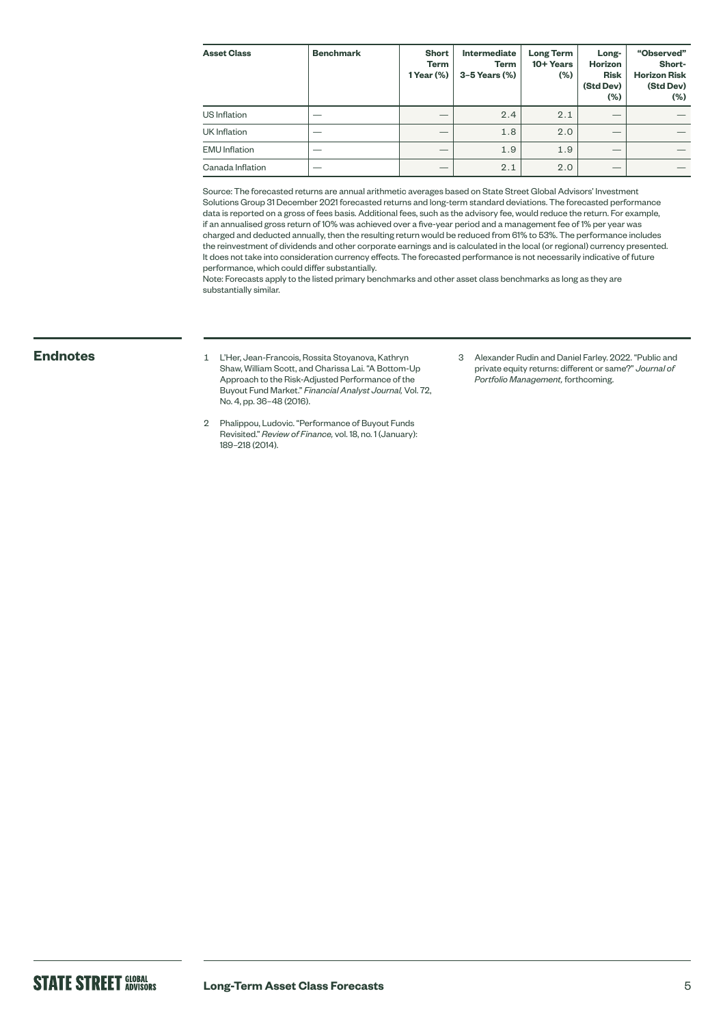| <b>Asset Class</b>   | <b>Benchmark</b> | <b>Short</b><br>Term<br>1 Year (%) | <b>Intermediate</b><br>Term<br>$3-5$ Years $(\%)$ | <b>Long Term</b><br>10+ Years<br>(%) | Long-<br><b>Horizon</b><br><b>Risk</b><br>(Std Dev)<br>(%) | "Observed"<br>Short-<br><b>Horizon Risk</b><br>(Std Dev)<br>$(\%)$ |
|----------------------|------------------|------------------------------------|---------------------------------------------------|--------------------------------------|------------------------------------------------------------|--------------------------------------------------------------------|
| US Inflation         |                  |                                    | 2.4                                               | 2.1                                  |                                                            |                                                                    |
| UK Inflation         |                  |                                    | 1.8                                               | 2.0                                  |                                                            |                                                                    |
| <b>EMU</b> Inflation |                  | –                                  | 1.9                                               | 1.9                                  | __                                                         |                                                                    |
| Canada Inflation     |                  |                                    | 2.1                                               | 2.0                                  |                                                            |                                                                    |

Source: The forecasted returns are annual arithmetic averages based on State Street Global Advisors' Investment Solutions Group 31 December 2021 forecasted returns and long-term standard deviations. The forecasted performance data is reported on a gross of fees basis. Additional fees, such as the advisory fee, would reduce the return. For example, if an annualised gross return of 10% was achieved over a five-year period and a management fee of 1% per year was charged and deducted annually, then the resulting return would be reduced from 61% to 53%. The performance includes the reinvestment of dividends and other corporate earnings and is calculated in the local (or regional) currency presented. It does not take into consideration currency effects. The forecasted performance is not necessarily indicative of future performance, which could differ substantially.

Note: Forecasts apply to the listed primary benchmarks and other asset class benchmarks as long as they are substantially similar.

- **Endnotes** <sup>1</sup> L'Her, Jean-Francois, Rossita Stoyanova, Kathryn Shaw, William Scott, and Charissa Lai. "A Bottom-Up Approach to the Risk-Adjusted Performance of the Buyout Fund Market." *Financial Analyst Journal,* Vol. 72, No. 4, pp. 36–48 (2016).
	- 2 Phalippou, Ludovic. "Performance of Buyout Funds Revisited." *Review of Finance,* vol. 18, no. 1 (January): 189–218 (2014).
- 3 Alexander Rudin and Daniel Farley. 2022. "Public and private equity returns: different or same?" *Journal of Portfolio Management,* forthcoming.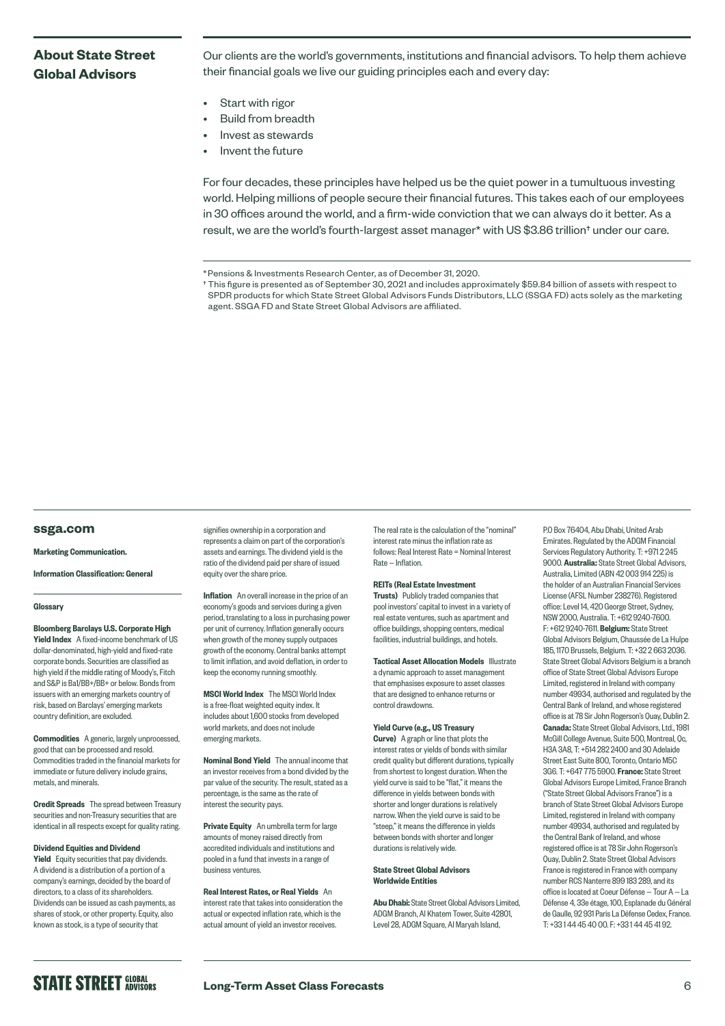# **About State Street Global Advisors**

Our clients are the world's governments, institutions and financial advisors. To help them achieve their financial goals we live our guiding principles each and every day:

- Start with rigor
- Build from breadth
- Invest as stewards
- Invent the future

For four decades, these principles have helped us be the quiet power in a tumultuous investing world. Helping millions of people secure their financial futures. This takes each of our employees in 30 offices around the world, and a firm-wide conviction that we can always do it better. As a result, we are the world's fourth-largest asset manager\* with US \$3.86 trillion† under our care.

† This figure is presented as of September 30, 2021 and includes approximately \$59.84 billion of assets with respect to SPDR products for which State Street Global Advisors Funds Distributors, LLC (SSGA FD) acts solely as the marketing agent. SSGA FD and State Street Global Advisors are affiliated.

#### **[ssga.com](http://ssga.com)**

#### Marketing Communication.

Information Classification: General

#### **Glossary**

Bloomberg Barclays U.S. Corporate High Yield Index A fixed-income benchmark of US dollar-denominated, high-yield and fixed-rate corporate bonds. Securities are classified as high yield if the middle rating of Moody's, Fitch and S&P is Ba1/BB+/BB+ or below. Bonds from issuers with an emerging markets country of risk, based on Barclays' emerging markets country definition, are excluded.

Commodities A generic, largely unprocessed, good that can be processed and resold. Commodities traded in the financial markets for immediate or future delivery include grains, metals, and minerals.

**Credit Spreads** The spread between Treasury securities and non-Treasury securities that are identical in all respects except for quality rating.

#### Dividend Equities and Dividend

**Yield** Equity securities that pay dividends. A dividend is a distribution of a portion of a company's earnings, decided by the board of directors, to a class of its shareholders. Dividends can be issued as cash payments, as shares of stock, or other property. Equity, also known as stock, is a type of security that

signifies ownership in a corporation and represents a claim on part of the corporation's assets and earnings. The dividend yield is the ratio of the dividend paid per share of issued equity over the share price.

Inflation An overall increase in the price of an economy's goods and services during a given period, translating to a loss in purchasing power per unit of currency. Inflation generally occurs when growth of the money supply outpaces growth of the economy. Central banks attempt to limit inflation, and avoid deflation, in order to keep the economy running smoothly.

MSCI World Index The MSCI World Index is a free-float weighted equity index. It includes about 1,600 stocks from developed world markets, and does not include emerging markets.

Nominal Bond Yield The annual income that an investor receives from a bond divided by the par value of the security. The result, stated as a percentage, is the same as the rate of interest the security pays.

Private Equity An umbrella term for large amounts of money raised directly from accredited individuals and institutions and pooled in a fund that invests in a range of business ventures.

Real Interest Rates, or Real Yields An interest rate that takes into consideration the actual or expected inflation rate, which is the actual amount of yield an investor receives.

The real rate is the calculation of the "nominal" interest rate minus the inflation rate as follows: Real Interest Rate = Nominal Interest Rate — Inflation.

#### REITs (Real Estate Investment

Trusts) Publicly traded companies that pool investors' capital to invest in a variety of real estate ventures, such as apartment and office buildings, shopping centers, medical facilities, industrial buildings, and hotels.

**Tactical Asset Allocation Models Illustrate** a dynamic approach to asset management that emphasises exposure to asset classes that are designed to enhance returns or control drawdowns.

#### Yield Curve (e.g., US Treasury

**Curve)** A graph or line that plots the interest rates or yields of bonds with similar credit quality but different durations, typically from shortest to longest duration. When the yield curve is said to be "flat," it means the difference in yields between bonds with shorter and longer durations is relatively narrow. When the yield curve is said to be "steep," it means the difference in yields between bonds with shorter and longer durations is relatively wide.

#### State Street Global Advisors Worldwide Entities

Abu Dhabi: State Street Global Advisors Limited, ADGM Branch, Al Khatem Tower, Suite 42801, Level 28, ADGM Square, Al Maryah Island,

P.O Box 76404, Abu Dhabi, United Arab Emirates. Regulated by the ADGM Financial Services Regulatory Authority. T: +971 2 245 9000. Australia: State Street Global Advisors, Australia, Limited (ABN 42 003 914 225) is the holder of an Australian Financial Services License (AFSL Number 238276). Registered office: Level 14, 420 George Street, Sydney, NSW 2000, Australia. T: +612 9240-7600. F: +612 9240-7611. Belgium: State Street Global Advisors Belgium, Chaussée de La Hulpe 185, 1170 Brussels, Belgium. T: +32 2 663 2036. State Street Global Advisors Belgium is a branch office of State Street Global Advisors Europe Limited, registered in Ireland with company number 49934, authorised and regulated by the Central Bank of Ireland, and whose registered office is at 78 Sir John Rogerson's Quay, Dublin 2. Canada: State Street Global Advisors, Ltd., 1981 McGill College Avenue, Suite 500, Montreal, Qc, H3A 3A8, T: +514 282 2400 and 30 Adelaide Street East Suite 800, Toronto, Ontario M5C 3G6. T: +647 775 5900. France: State Street Global Advisors Europe Limited, France Branch ("State Street Global Advisors France") is a branch of State Street Global Advisors Europe Limited, registered in Ireland with company number 49934, authorised and regulated by the Central Bank of Ireland, and whose registered office is at 78 Sir John Rogerson's Quay, Dublin 2. State Street Global Advisors France is registered in France with company number RCS Nanterre 899 183 289, and its office is located at Coeur Défense — Tour A — La Défense 4, 33e étage, 100, Esplanade du Général de Gaulle, 92 931 Paris La Défense Cedex, France. T: +33 1 44 45 40 00. F: +33 1 44 45 41 92.

**STATE STREET GLOBAL** 

<sup>\*</sup>Pensions & Investments Research Center, as of December 31, 2020.